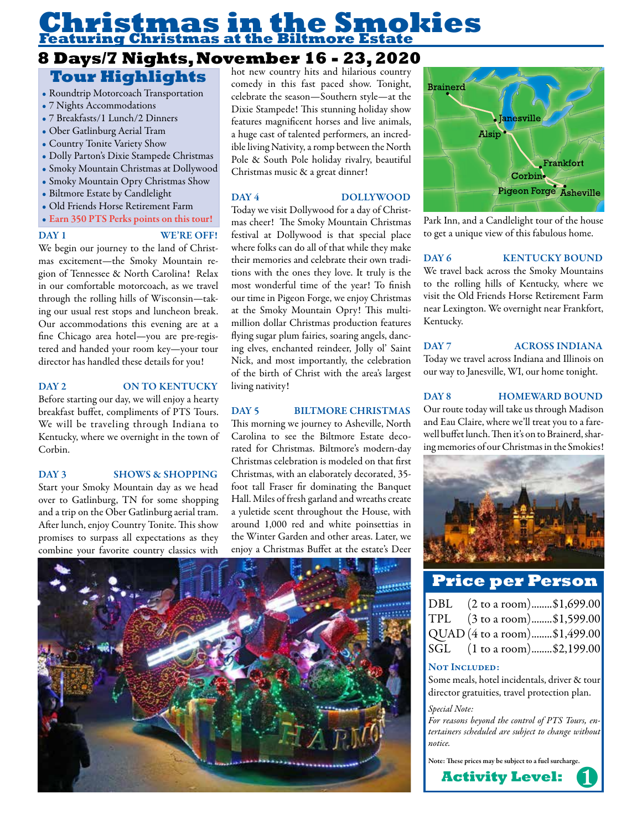# **Christmas in the Smokies Featuring Christmas at the Biltmore Estate**

# **8 Days/7 Nights, November 16 - 23, 2020 Tour Highlights**

#### • Roundtrip Motorcoach Transportation

- 7 Nights Accommodations
- 7 Breakfasts/1 Lunch/2 Dinners
- Ober Gatlinburg Aerial Tram
- Country Tonite Variety Show
- Dolly Parton's Dixie Stampede Christmas
- Smoky Mountain Christmas at Dollywood
- Smoky Mountain Opry Christmas Show
- Biltmore Estate by Candlelight
- Old Friends Horse Retirement Farm
- Earn 350 PTS Perks points on this tour!

## DAY 1 WE'RE OFF!

We begin our journey to the land of Christmas excitement—the Smoky Mountain region of Tennessee & North Carolina! Relax in our comfortable motorcoach, as we travel through the rolling hills of Wisconsin—taking our usual rest stops and luncheon break. Our accommodations this evening are at a fine Chicago area hotel—you are pre-registered and handed your room key—your tour director has handled these details for you!

#### DAY 2 ON TO KENTUCKY

Before starting our day, we will enjoy a hearty breakfast buffet, compliments of PTS Tours. We will be traveling through Indiana to Kentucky, where we overnight in the town of Corbin.

#### DAY 3 SHOWS & SHOPPING

Start your Smoky Mountain day as we head over to Gatlinburg, TN for some shopping and a trip on the Ober Gatlinburg aerial tram. After lunch, enjoy Country Tonite. This show promises to surpass all expectations as they combine your favorite country classics with

hot new country hits and hilarious country comedy in this fast paced show. Tonight, celebrate the season—Southern style—at the Dixie Stampede! This stunning holiday show features magnificent horses and live animals, a huge cast of talented performers, an incredible living Nativity, a romp between the North Pole & South Pole holiday rivalry, beautiful Christmas music & a great dinner!

#### DAY 4 DOLLYWOOD

Today we visit Dollywood for a day of Christmas cheer! The Smoky Mountain Christmas festival at Dollywood is that special place where folks can do all of that while they make their memories and celebrate their own traditions with the ones they love. It truly is the most wonderful time of the year! To finish our time in Pigeon Forge, we enjoy Christmas at the Smoky Mountain Opry! This multimillion dollar Christmas production features flying sugar plum fairies, soaring angels, dancing elves, enchanted reindeer, Jolly ol' Saint Nick, and most importantly, the celebration of the birth of Christ with the area's largest living nativity!

#### DAY 5 BILTMORE CHRISTMAS

This morning we journey to Asheville, North Carolina to see the Biltmore Estate decorated for Christmas. Biltmore's modern-day Christmas celebration is modeled on that first Christmas, with an elaborately decorated, 35 foot tall Fraser fir dominating the Banquet Hall. Miles of fresh garland and wreaths create a yuletide scent throughout the House, with around 1,000 red and white poinsettias in the Winter Garden and other areas. Later, we enjoy a Christmas Buffet at the estate's Deer





Park Inn, and a Candlelight tour of the house to get a unique view of this fabulous home.

#### DAY 6 KENTUCKY BOUND

We travel back across the Smoky Mountains to the rolling hills of Kentucky, where we visit the Old Friends Horse Retirement Farm near Lexington. We overnight near Frankfort, Kentucky.

### DAY 7 ACROSS INDIANA

Today we travel across Indiana and Illinois on our way to Janesville, WI, our home tonight.

### DAY 8 HOMEWARD BOUND

Our route today will take us through Madison and Eau Claire, where we'll treat you to a farewell buffet lunch. Then it's on to Brainerd, sharing memories of our Christmas in the Smokies!



# **Price per Person**

| DBL (2 to a room)\$1,699.00            |  |  |  |
|----------------------------------------|--|--|--|
| TPL $(3 \text{ to a room})$ \$1,599.00 |  |  |  |
| QUAD (4 to a room)\$1,499.00           |  |  |  |
| SGL (1 to a room)\$2,199.00            |  |  |  |

#### NOT INCLUDED:

Some meals, hotel incidentals, driver & tour director gratuities, travel protection plan.

#### *Special Note:*

*For reasons beyond the control of PTS Tours, entertainers scheduled are subject to change without notice.* 

Note: These prices may be subject to a fuel surcharge.

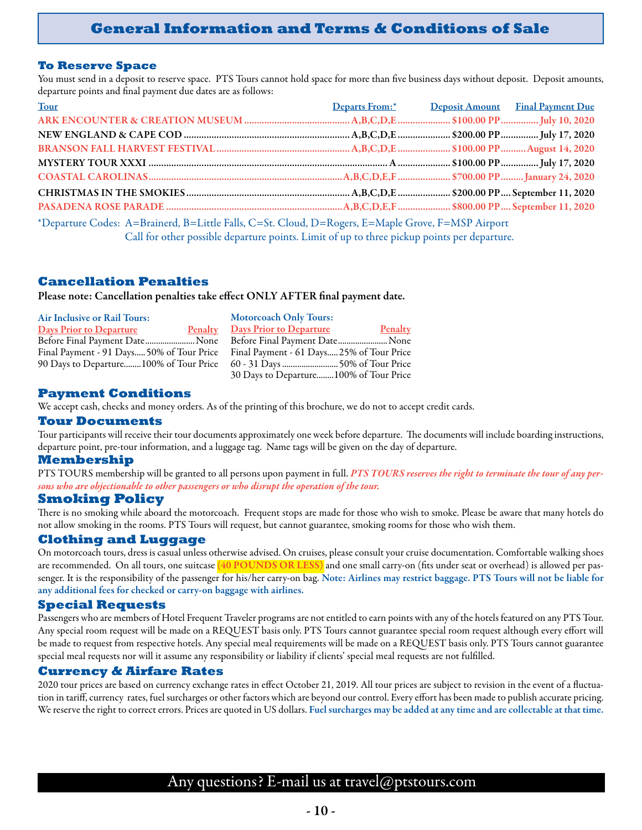## **General Information and Terms & Conditions of Sale**

#### **To Reserve Space**

You must send in a deposit to reserve space. PTS Tours cannot hold space for more than five business days without deposit. Deposit amounts, departure points and final payment due dates are as follows:

| Tour                                                                                              | Departs From:* Deposit Amount Final Payment Due |  |  |  |
|---------------------------------------------------------------------------------------------------|-------------------------------------------------|--|--|--|
|                                                                                                   |                                                 |  |  |  |
|                                                                                                   |                                                 |  |  |  |
|                                                                                                   |                                                 |  |  |  |
|                                                                                                   |                                                 |  |  |  |
|                                                                                                   |                                                 |  |  |  |
|                                                                                                   |                                                 |  |  |  |
|                                                                                                   |                                                 |  |  |  |
| *Departure Codes: A=Brainerd, B=Little Falls, C=St. Cloud, D=Rogers, E=Maple Grove, F=MSP Airport |                                                 |  |  |  |

Call for other possible departure points. Limit of up to three pickup points per departure.

### **Cancellation Penalties**

Please note: Cancellation penalties take effect ONLY AFTER final payment date.

| <b>Air Inclusive or Rail Tours:</b>    | <b>Motorcoach Only Tours:</b>                                                       |
|----------------------------------------|-------------------------------------------------------------------------------------|
| <b>Days Prior to Departure</b>         | Penalty<br><b>Penalty</b> Days Prior to Departure                                   |
| Before Final Payment DateNone          | Before Final Payment Date None                                                      |
|                                        | Final Payment - 91 Days 50% of Tour Price Final Payment - 61 Days 25% of Tour Price |
| 90 Days to Departure100% of Tour Price |                                                                                     |
|                                        | 30 Days to Departure 100% of Tour Price                                             |

#### **Payment Conditions**

We accept cash, checks and money orders. As of the printing of this brochure, we do not to accept credit cards.

#### **Tour Documents**

Tour participants will receive their tour documents approximately one week before departure. The documents will include boarding instructions, departure point, pre-tour information, and a luggage tag. Name tags will be given on the day of departure.

#### **Membership**

PTS TOURS membership will be granted to all persons upon payment in full. *PTS TOURS reserves the right to terminate the tour of any persons who are objectionable to other passengers or who disrupt the operation of the tour.*

### **Smoking Policy**

There is no smoking while aboard the motorcoach. Frequent stops are made for those who wish to smoke. Please be aware that many hotels do not allow smoking in the rooms. PTS Tours will request, but cannot guarantee, smoking rooms for those who wish them.

#### **Clothing and Luggage**

On motorcoach tours, dress is casual unless otherwise advised. On cruises, please consult your cruise documentation. Comfortable walking shoes are recommended. On all tours, one suitcase (40 POUNDS OR LESS) and one small carry-on (fits under seat or overhead) is allowed per passenger. It is the responsibility of the passenger for his/her carry-on bag. Note: Airlines may restrict baggage. PTS Tours will not be liable for any additional fees for checked or carry-on baggage with airlines.

#### **Special Requests**

Passengers who are members of Hotel Frequent Traveler programs are not entitled to earn points with any of the hotels featured on any PTS Tour. Any special room request will be made on a REQUEST basis only. PTS Tours cannot guarantee special room request although every effort will be made to request from respective hotels. Any special meal requirements will be made on a REQUEST basis only. PTS Tours cannot guarantee special meal requests nor will it assume any responsibility or liability if clients' special meal requests are not fulfilled.

#### **Currency & Airfare Rates**

2020 tour prices are based on currency exchange rates in effect October 21, 2019. All tour prices are subject to revision in the event of a fluctuation in tariff, currency rates, fuel surcharges or other factors which are beyond our control. Every effort has been made to publish accurate pricing. We reserve the right to correct errors. Prices are quoted in US dollars. Fuel surcharges may be added at any time and are collectable at that time.

## Any questions? E-mail us at travel@ptstours.com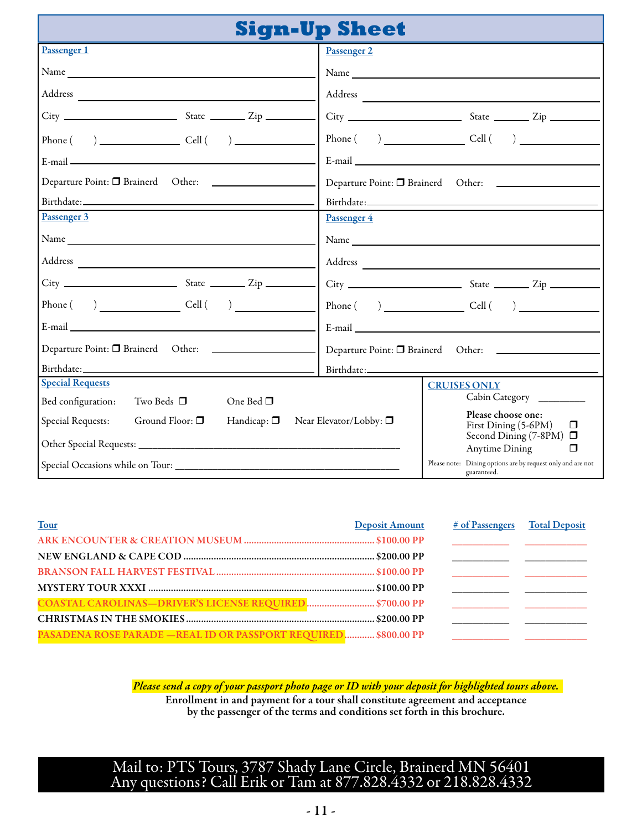|                                                                                      | <b>Sign-Up Sheet</b>                                                                                                                                                                                                                          |  |  |
|--------------------------------------------------------------------------------------|-----------------------------------------------------------------------------------------------------------------------------------------------------------------------------------------------------------------------------------------------|--|--|
| Passenger 1                                                                          | Passenger 2                                                                                                                                                                                                                                   |  |  |
|                                                                                      |                                                                                                                                                                                                                                               |  |  |
|                                                                                      |                                                                                                                                                                                                                                               |  |  |
|                                                                                      |                                                                                                                                                                                                                                               |  |  |
| $Phone( )$ $Cell( )$                                                                 | $Phone( )$ $Cell( )$                                                                                                                                                                                                                          |  |  |
| E-mail $\frac{1}{\sqrt{1-\frac{1}{2}}}\left\{\frac{1}{\sqrt{1-\frac{1}{2}}}\right\}$ |                                                                                                                                                                                                                                               |  |  |
|                                                                                      | Departure Point: <sup>1</sup> Brainerd Other: <u>1 1 Archives 1 Archives 1 Archives 1 Archives 1 Archives 1 Archives 1 Archives 1 Archives 1 Archives 1 Archives 1 Archives 1 Archives 1 Archives 1 Archives 1 Archives 1 Archives 1 Arch</u> |  |  |
|                                                                                      |                                                                                                                                                                                                                                               |  |  |
| Passenger 3                                                                          | Passenger 4                                                                                                                                                                                                                                   |  |  |
|                                                                                      |                                                                                                                                                                                                                                               |  |  |
|                                                                                      |                                                                                                                                                                                                                                               |  |  |
|                                                                                      |                                                                                                                                                                                                                                               |  |  |
|                                                                                      | $Phone( )$ Cell $( )$                                                                                                                                                                                                                         |  |  |
|                                                                                      | E-mail experience of the state of the state of the state of the state of the state of the state of the state of the state of the state of the state of the state of the state of the state of the state of the state of the st                |  |  |
|                                                                                      | Departure Point: <sup>1</sup> Brainerd Other: 1 Christoparture Point: 1 Brainerd Other:                                                                                                                                                       |  |  |
|                                                                                      |                                                                                                                                                                                                                                               |  |  |
| <b>Special Requests</b>                                                              | <b>CRUISES ONLY</b>                                                                                                                                                                                                                           |  |  |
| Bed configuration:<br>Two Beds $\Box$<br>One Bed $\square$                           | Cabin Category                                                                                                                                                                                                                                |  |  |
| Special Requests:<br>Ground Floor: $\Box$<br>Handicap: $\Box$                        | Please choose one:<br>Near Elevator/Lobby: □<br>First Dining (5-6PM)<br>$\Box$<br>Second Dining (7-8PM) $\Box$                                                                                                                                |  |  |
|                                                                                      | Anytime Dining<br>□                                                                                                                                                                                                                           |  |  |
| Special Occasions while on Tour:                                                     | Please note: Dining options are by request only and are not<br>guaranteed.                                                                                                                                                                    |  |  |

| <b>Tour</b>                                                            | <b>Deposit Amount</b> | # of Passengers Total Deposit                                                                                          |  |
|------------------------------------------------------------------------|-----------------------|------------------------------------------------------------------------------------------------------------------------|--|
|                                                                        |                       | <u> 1990 - Johann John Stein, mars et al. (</u> † 1911)                                                                |  |
|                                                                        |                       | <u> 1989 - Jan James James, politik eta provincia eta provincia eta provincia eta provincia eta provincia eta pro</u>  |  |
|                                                                        |                       |                                                                                                                        |  |
|                                                                        |                       |                                                                                                                        |  |
| COASTAL CAROLINAS-DRIVER'S LICENSE REQUIRED \$700.00 PP                |                       | <u> 1999 - Johann Harry Barn, mars and de Branch and de Branch and de Branch and de Branch and de Branch and de Br</u> |  |
|                                                                        |                       | <u> 1980 - Jan Stein Berlin, amerikansk politiker (</u>                                                                |  |
| <b>PASADENA ROSE PARADE - REAL ID OR PASSPORT REQUIRED \$800.00 PP</b> |                       |                                                                                                                        |  |

*Please send a copy of your passport photo page or ID with your deposit for highlighted tours above.* Enrollment in and payment for a tour shall constitute agreement and acceptance by the passenger of the terms and conditions set forth in this brochure.

Mail to: PTS Tours, 3787 Shady Lane Circle, Brainerd MN 56401 Any questions? Call Erik or Tam at 877.828.4332 or 218.828.4332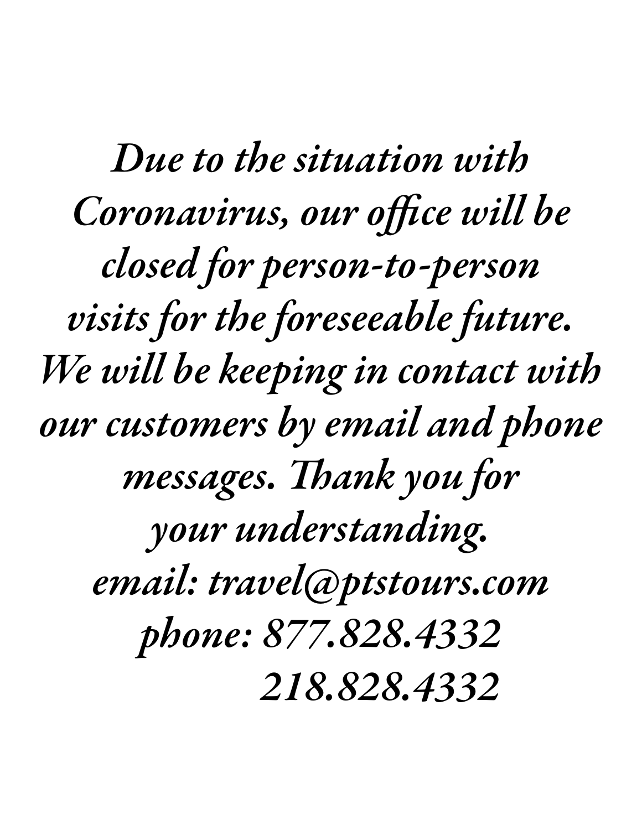*Due to the situation with Coronavirus, our office will be closed for person-to-person visits for the foreseeable future. We will be keeping in contact with our customers by email and phone messages. Thank you for your understanding. email: travel@ptstours.com phone: 877.828.4332 218.828.4332*